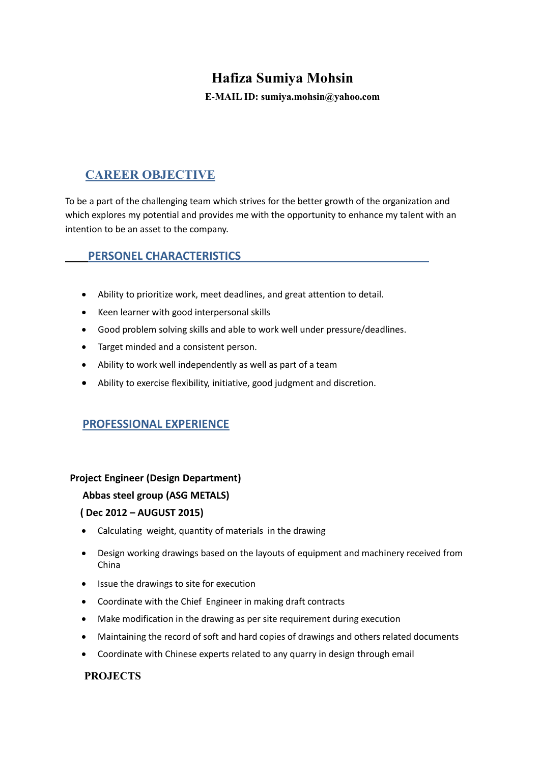# **Hafiza Sumiya Mohsin**

 **E-MAIL ID: sumiya.mohsin@yahoo.com** 

# **CAREER OBJECTIVE**

To be a part of the challenging team which strives for the better growth of the organization and which explores my potential and provides me with the opportunity to enhance my talent with an intention to be an asset to the company.

# **PERSONEL CHARACTERISTICS**

- Ability to prioritize work, meet deadlines, and great attention to detail.
- Keen learner with good interpersonal skills
- Good problem solving skills and able to work well under pressure/deadlines.
- Target minded and a consistent person.
- Ability to work well independently as well as part of a team
- Ability to exercise flexibility, initiative, good judgment and discretion.

# **PROFESSIONAL EXPERIENCE**

#### **Project Engineer (Design Department)**

#### **Abbas steel group (ASG METALS)**

#### **( Dec 2012 – AUGUST 2015)**

- Calculating weight, quantity of materials in the drawing
- Design working drawings based on the layouts of equipment and machinery received from China
- Issue the drawings to site for execution
- Coordinate with the Chief Engineer in making draft contracts
- Make modification in the drawing as per site requirement during execution
- Maintaining the record of soft and hard copies of drawings and others related documents
- Coordinate with Chinese experts related to any quarry in design through email

## **PROJECTS**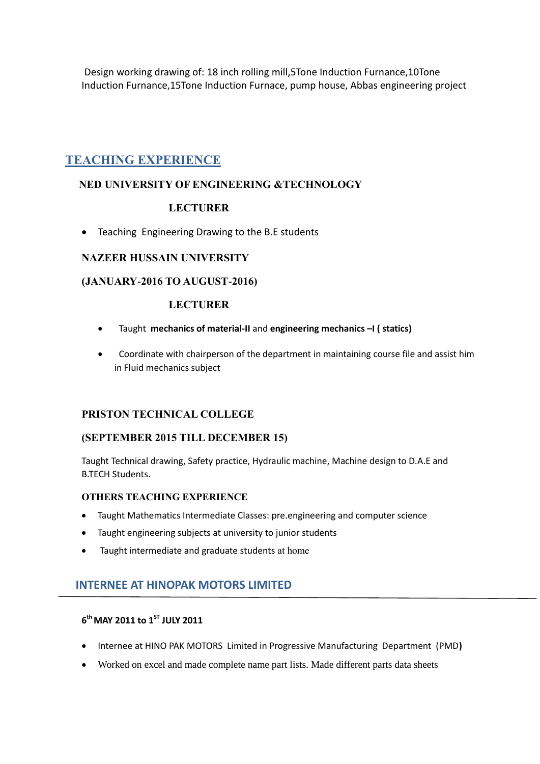Design working drawing of: 18 inch rolling mill,5Tone Induction Furnance,10Tone Induction Furnance,15Tone Induction Furnace, pump house, Abbas engineering project

# **TEACHING EXPERIENCE**

## **NED UNIVERSITY OF ENGINEERING &TECHNOLOGY**

## **LECTURER**

Teaching Engineering Drawing to the B.E students

### **NAZEER HUSSAIN UNIVERSITY**

### **(JANUARY-2016 TO AUGUST-2016)**

## **LECTURER**

- Taught **mechanics of material-II** and **engineering mechanics –I ( statics)**
- Coordinate with chairperson of the department in maintaining course file and assist him in Fluid mechanics subject

## **PRISTON TECHNICAL COLLEGE**

## **(SEPTEMBER 2015 TILL DECEMBER 15)**

Taught Technical drawing, Safety practice, Hydraulic machine, Machine design to D.A.E and B.TECH Students.

#### **OTHERS TEACHING EXPERIENCE**

- Taught Mathematics Intermediate Classes: pre.engineering and computer science
- Taught engineering subjects at university to junior students
- Taught intermediate and graduate students at home

# **INTERNEE AT HINOPAK MOTORS LIMITED**

#### **6 th MAY 2011 to 1ST JULY 2011**

- Internee at HINO PAK MOTORS Limited in Progressive Manufacturing Department (PMD**)**
- Worked on excel and made complete name part lists. Made different parts data sheets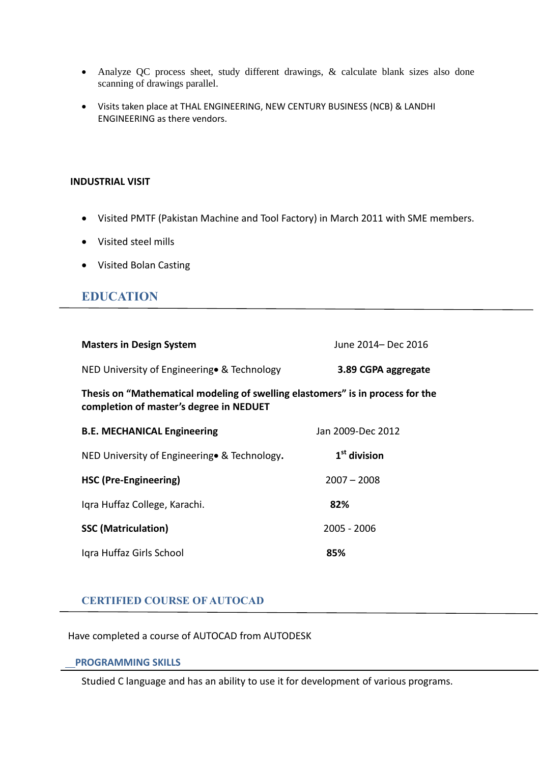- Analyze QC process sheet, study different drawings, & calculate blank sizes also done scanning of drawings parallel.
- Visits taken place at THAL ENGINEERING, NEW CENTURY BUSINESS (NCB) & LANDHI ENGINEERING as there vendors.

#### **INDUSTRIAL VISIT**

- Visited PMTF (Pakistan Machine and Tool Factory) in March 2011 with SME members.
- Visited steel mills
- Visited Bolan Casting

# **EDUCATION**

| <b>Masters in Design System</b>                                                                                           | June 2014– Dec 2016 |
|---------------------------------------------------------------------------------------------------------------------------|---------------------|
| NED University of Engineering• & Technology                                                                               | 3.89 CGPA aggregate |
| Thesis on "Mathematical modeling of swelling elastomers" is in process for the<br>completion of master's degree in NEDUET |                     |
| <b>B.E. MECHANICAL Engineering</b>                                                                                        | Jan 2009-Dec 2012   |
| NED University of Engineering • & Technology.                                                                             | $1st$ division      |
| <b>HSC (Pre-Engineering)</b>                                                                                              | $2007 - 2008$       |
| Igra Huffaz College, Karachi.                                                                                             | 82%                 |
| <b>SSC (Matriculation)</b>                                                                                                | $2005 - 2006$       |
| Igra Huffaz Girls School                                                                                                  | 85%                 |

## **CERTIFIED COURSE OF AUTOCAD**

Have completed a course of AUTOCAD from AUTODESK

#### **PROGRAMMING SKILLS**

Studied C language and has an ability to use it for development of various programs.